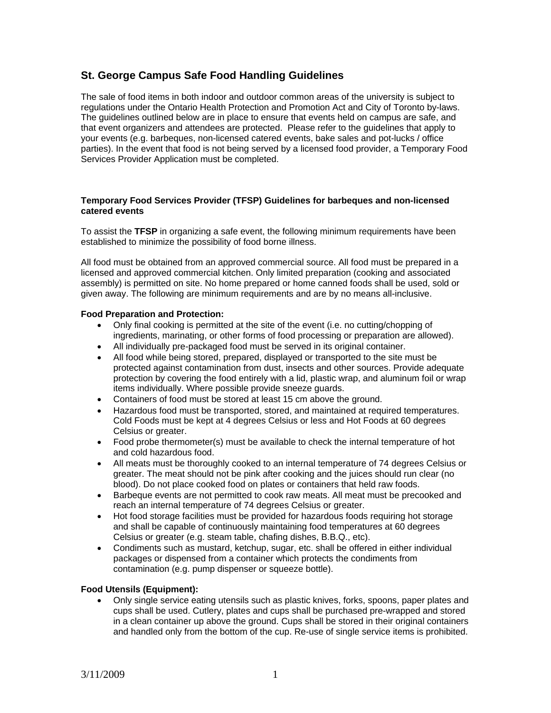#### **St. George Campus Safe Food Handling Guidelines**

The sale of food items in both indoor and outdoor common areas of the university is subject to regulations under the Ontario Health Protection and Promotion Act and City of Toronto by-laws. The guidelines outlined below are in place to ensure that events held on campus are safe, and that event organizers and attendees are protected. Please refer to the guidelines that apply to your events (e.g. barbeques, non-licensed catered events, bake sales and pot-lucks / office parties). In the event that food is not being served by a licensed food provider, a Temporary Food Services Provider Application must be completed.

#### **Temporary Food Services Provider (TFSP) Guidelines for barbeques and non-licensed catered events**

To assist the **TFSP** in organizing a safe event, the following minimum requirements have been established to minimize the possibility of food borne illness.

All food must be obtained from an approved commercial source. All food must be prepared in a licensed and approved commercial kitchen. Only limited preparation (cooking and associated assembly) is permitted on site. No home prepared or home canned foods shall be used, sold or given away. The following are minimum requirements and are by no means all-inclusive.

#### **Food Preparation and Protection:**

- Only final cooking is permitted at the site of the event (i.e. no cutting/chopping of ingredients, marinating, or other forms of food processing or preparation are allowed).
- All individually pre-packaged food must be served in its original container.
- All food while being stored, prepared, displayed or transported to the site must be protected against contamination from dust, insects and other sources. Provide adequate protection by covering the food entirely with a lid, plastic wrap, and aluminum foil or wrap items individually. Where possible provide sneeze guards.
- Containers of food must be stored at least 15 cm above the ground.
- Hazardous food must be transported, stored, and maintained at required temperatures. Cold Foods must be kept at 4 degrees Celsius or less and Hot Foods at 60 degrees Celsius or greater.
- Food probe thermometer(s) must be available to check the internal temperature of hot and cold hazardous food.
- All meats must be thoroughly cooked to an internal temperature of 74 degrees Celsius or greater. The meat should not be pink after cooking and the juices should run clear (no blood). Do not place cooked food on plates or containers that held raw foods.
- Barbeque events are not permitted to cook raw meats. All meat must be precooked and reach an internal temperature of 74 degrees Celsius or greater.
- Hot food storage facilities must be provided for hazardous foods requiring hot storage and shall be capable of continuously maintaining food temperatures at 60 degrees Celsius or greater (e.g. steam table, chafing dishes, B.B.Q., etc).
- Condiments such as mustard, ketchup, sugar, etc. shall be offered in either individual packages or dispensed from a container which protects the condiments from contamination (e.g. pump dispenser or squeeze bottle).

#### **Food Utensils (Equipment):**

• Only single service eating utensils such as plastic knives, forks, spoons, paper plates and cups shall be used. Cutlery, plates and cups shall be purchased pre-wrapped and stored in a clean container up above the ground. Cups shall be stored in their original containers and handled only from the bottom of the cup. Re-use of single service items is prohibited.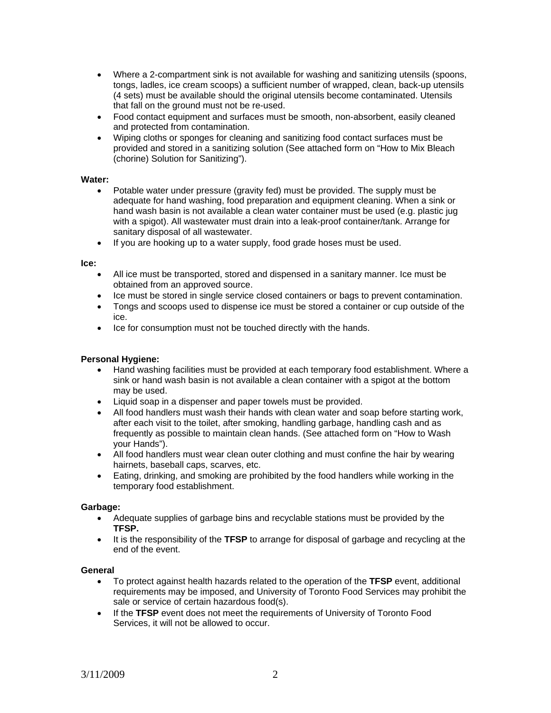- Where a 2-compartment sink is not available for washing and sanitizing utensils (spoons, tongs, ladles, ice cream scoops) a sufficient number of wrapped, clean, back-up utensils (4 sets) must be available should the original utensils become contaminated. Utensils that fall on the ground must not be re-used.
- Food contact equipment and surfaces must be smooth, non-absorbent, easily cleaned and protected from contamination.
- Wiping cloths or sponges for cleaning and sanitizing food contact surfaces must be provided and stored in a sanitizing solution (See attached form on "How to Mix Bleach (chorine) Solution for Sanitizing").

#### **Water:**

- Potable water under pressure (gravity fed) must be provided. The supply must be adequate for hand washing, food preparation and equipment cleaning. When a sink or hand wash basin is not available a clean water container must be used (e.g. plastic jug with a spigot). All wastewater must drain into a leak-proof container/tank. Arrange for sanitary disposal of all wastewater.
- If you are hooking up to a water supply, food grade hoses must be used.

#### **Ice:**

- All ice must be transported, stored and dispensed in a sanitary manner. Ice must be obtained from an approved source.
- Ice must be stored in single service closed containers or bags to prevent contamination.
- Tongs and scoops used to dispense ice must be stored a container or cup outside of the ice.
- Ice for consumption must not be touched directly with the hands.

#### **Personal Hygiene:**

- Hand washing facilities must be provided at each temporary food establishment. Where a sink or hand wash basin is not available a clean container with a spigot at the bottom may be used.
- Liquid soap in a dispenser and paper towels must be provided.
- All food handlers must wash their hands with clean water and soap before starting work, after each visit to the toilet, after smoking, handling garbage, handling cash and as frequently as possible to maintain clean hands. (See attached form on "How to Wash your Hands").
- All food handlers must wear clean outer clothing and must confine the hair by wearing hairnets, baseball caps, scarves, etc.
- Eating, drinking, and smoking are prohibited by the food handlers while working in the temporary food establishment.

#### **Garbage:**

- Adequate supplies of garbage bins and recyclable stations must be provided by the **TFSP.**
- It is the responsibility of the **TFSP** to arrange for disposal of garbage and recycling at the end of the event.

#### **General**

- To protect against health hazards related to the operation of the **TFSP** event, additional requirements may be imposed, and University of Toronto Food Services may prohibit the sale or service of certain hazardous food(s).
- If the **TFSP** event does not meet the requirements of University of Toronto Food Services, it will not be allowed to occur.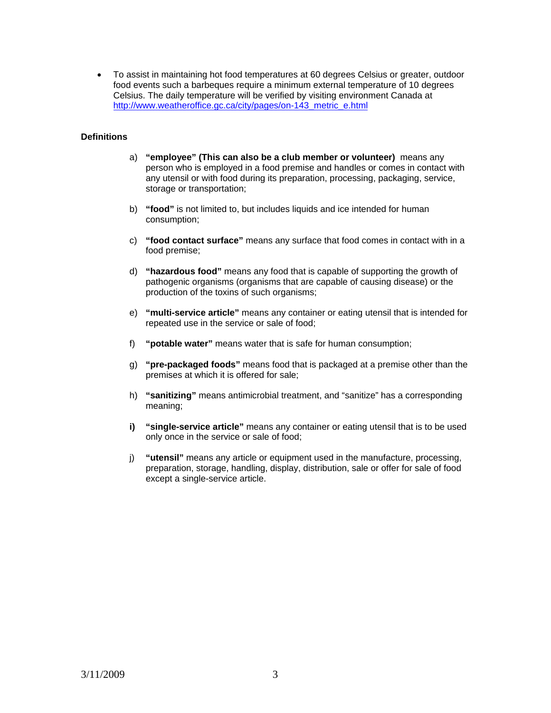• To assist in maintaining hot food temperatures at 60 degrees Celsius or greater, outdoor food events such a barbeques require a minimum external temperature of 10 degrees Celsius. The daily temperature will be verified by visiting environment Canada at http://www.weatheroffice.gc.ca/city/pages/on-143 metric\_e.html

#### **Definitions**

- a) **"employee" (This can also be a club member or volunteer)** means any person who is employed in a food premise and handles or comes in contact with any utensil or with food during its preparation, processing, packaging, service, storage or transportation;
- b) **"food"** is not limited to, but includes liquids and ice intended for human consumption;
- c) **"food contact surface"** means any surface that food comes in contact with in a food premise;
- d) **"hazardous food"** means any food that is capable of supporting the growth of pathogenic organisms (organisms that are capable of causing disease) or the production of the toxins of such organisms;
- e) **"multi-service article"** means any container or eating utensil that is intended for repeated use in the service or sale of food;
- f) **"potable water"** means water that is safe for human consumption;
- g) **"pre-packaged foods"** means food that is packaged at a premise other than the premises at which it is offered for sale;
- h) **"sanitizing"** means antimicrobial treatment, and "sanitize" has a corresponding meaning;
- **i)** "single-service article" means any container or eating utensil that is to be used only once in the service or sale of food;
- j) **"utensil"** means any article or equipment used in the manufacture, processing, preparation, storage, handling, display, distribution, sale or offer for sale of food except a single-service article.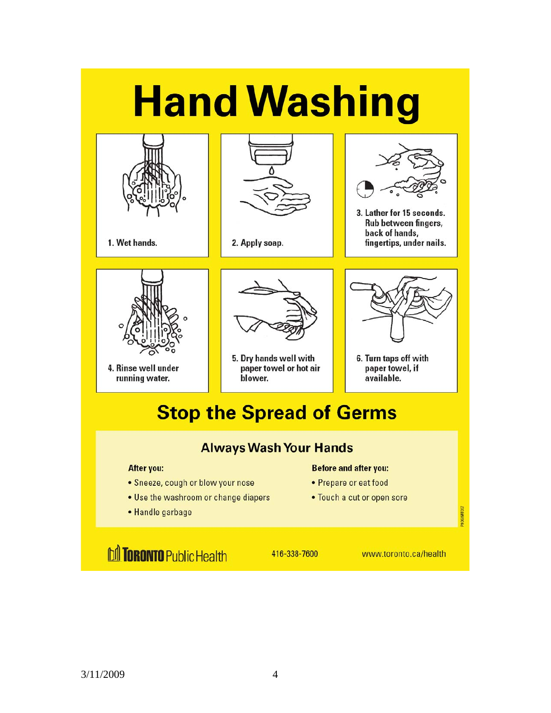# **Hand Washing**



1. Wet hands.



2. Apply soap.



3. Lather for 15 seconds. Rub between fingers, back of hands, fingertips, under nails.



4. Rinse well under running water.



5. Dry hands well with paper towel or hot air blower.



6. Turn taps off with paper towel, if available.

# **Stop the Spread of Germs**

## **Always Wash Your Hands**

#### **After you:**

- Sneeze, cough or blow your nose
- Use the washroom or change diapers
- Handle garbage

#### **Before and after you:**

- Prepare or eat food
- Touch a cut or open sore

**M TORONTO Public Health** 

416-338-7600

www.toronto.ca/health